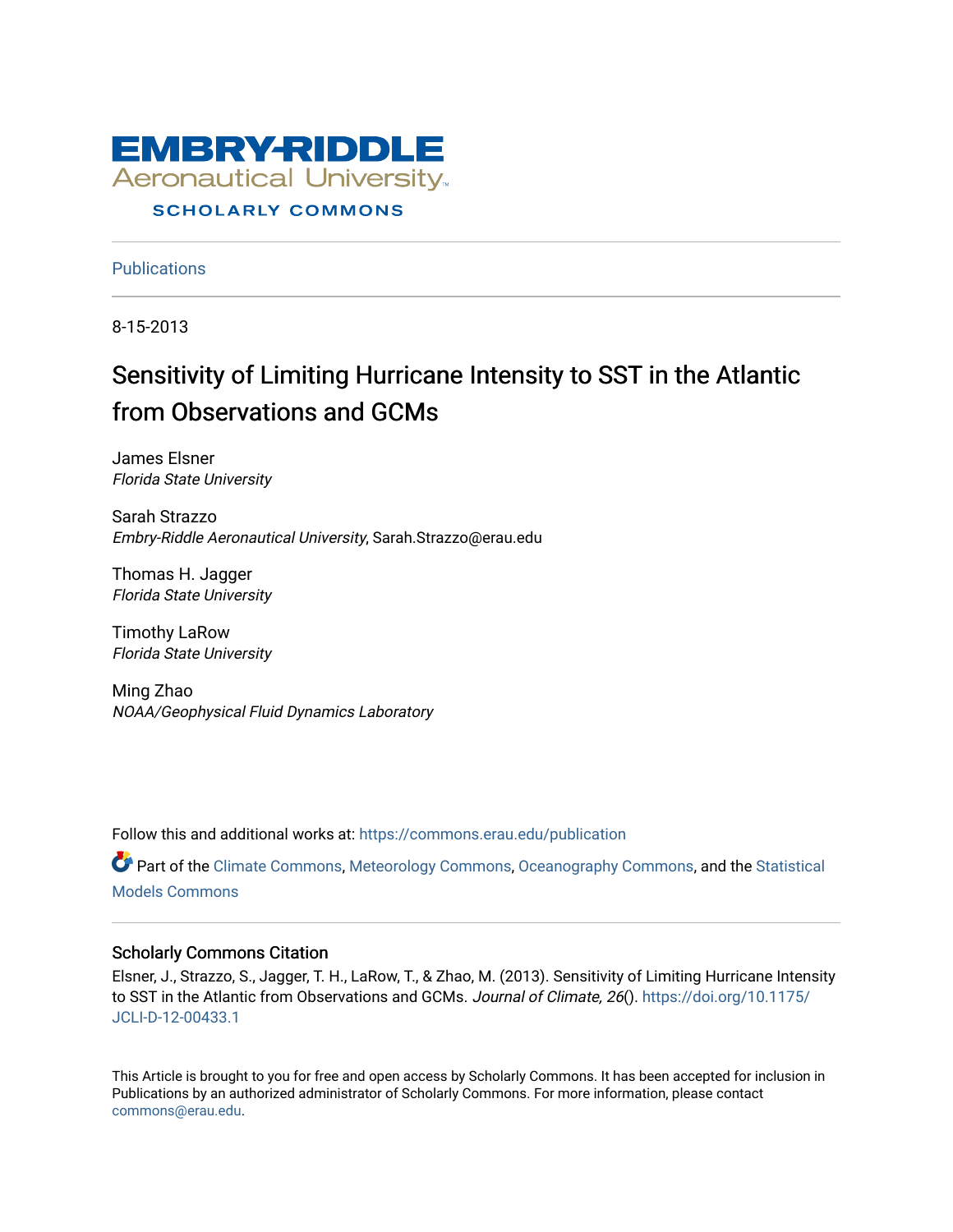

# **SCHOLARLY COMMONS**

**Publications** 

8-15-2013

# Sensitivity of Limiting Hurricane Intensity to SST in the Atlantic from Observations and GCMs

James Elsner Florida State University

Sarah Strazzo Embry-Riddle Aeronautical University, Sarah.Strazzo@erau.edu

Thomas H. Jagger Florida State University

Timothy LaRow Florida State University

Ming Zhao NOAA/Geophysical Fluid Dynamics Laboratory

Follow this and additional works at: [https://commons.erau.edu/publication](https://commons.erau.edu/publication?utm_source=commons.erau.edu%2Fpublication%2F1610&utm_medium=PDF&utm_campaign=PDFCoverPages) 

Part of the [Climate Commons,](http://network.bepress.com/hgg/discipline/188?utm_source=commons.erau.edu%2Fpublication%2F1610&utm_medium=PDF&utm_campaign=PDFCoverPages) [Meteorology Commons,](http://network.bepress.com/hgg/discipline/190?utm_source=commons.erau.edu%2Fpublication%2F1610&utm_medium=PDF&utm_campaign=PDFCoverPages) [Oceanography Commons,](http://network.bepress.com/hgg/discipline/191?utm_source=commons.erau.edu%2Fpublication%2F1610&utm_medium=PDF&utm_campaign=PDFCoverPages) and the [Statistical](http://network.bepress.com/hgg/discipline/827?utm_source=commons.erau.edu%2Fpublication%2F1610&utm_medium=PDF&utm_campaign=PDFCoverPages) [Models Commons](http://network.bepress.com/hgg/discipline/827?utm_source=commons.erau.edu%2Fpublication%2F1610&utm_medium=PDF&utm_campaign=PDFCoverPages) 

# Scholarly Commons Citation

Elsner, J., Strazzo, S., Jagger, T. H., LaRow, T., & Zhao, M. (2013). Sensitivity of Limiting Hurricane Intensity to SST in the Atlantic from Observations and GCMs. Journal of Climate, 26(). [https://doi.org/10.1175/](https://doi.org/10.1175/JCLI-D-12-00433.1) [JCLI-D-12-00433.1](https://doi.org/10.1175/JCLI-D-12-00433.1) 

This Article is brought to you for free and open access by Scholarly Commons. It has been accepted for inclusion in Publications by an authorized administrator of Scholarly Commons. For more information, please contact [commons@erau.edu](mailto:commons@erau.edu).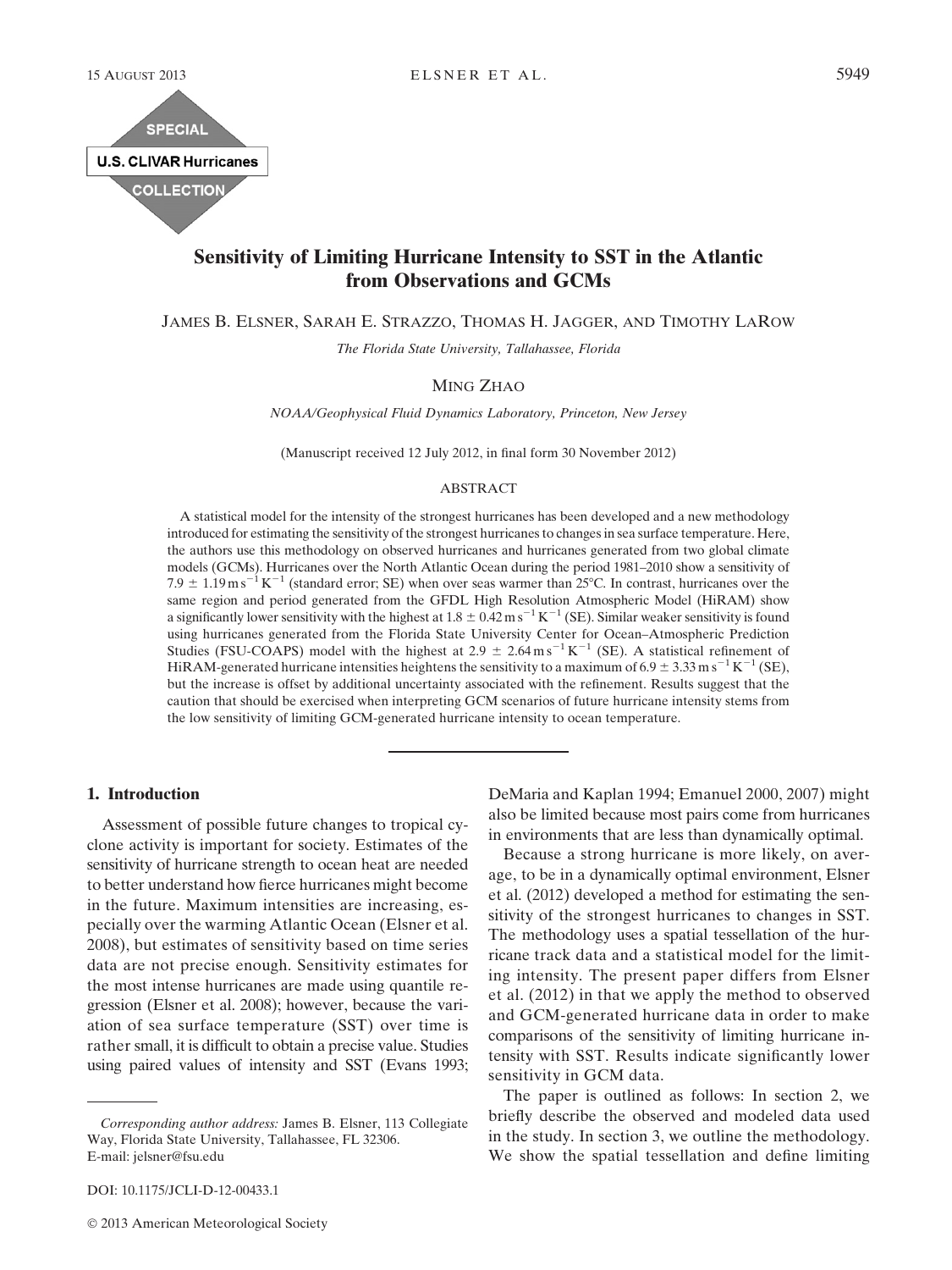

# Sensitivity of Limiting Hurricane Intensity to SST in the Atlantic from Observations and GCMs

JAMES B. ELSNER, SARAH E. STRAZZO, THOMAS H. JAGGER, AND TIMOTHY LAROW

The Florida State University, Tallahassee, Florida

### MING ZHAO

NOAA/Geophysical Fluid Dynamics Laboratory, Princeton, New Jersey

(Manuscript received 12 July 2012, in final form 30 November 2012)

#### ABSTRACT

A statistical model for the intensity of the strongest hurricanes has been developed and a new methodology introduced for estimating the sensitivity of the strongest hurricanes to changes in sea surface temperature. Here, the authors use this methodology on observed hurricanes and hurricanes generated from two global climate models (GCMs). Hurricanes over the North Atlantic Ocean during the period 1981–2010 show a sensitivity of 7.9  $\pm$  1.19m s<sup>-1</sup> K<sup>-1</sup> (standard error; SE) when over seas warmer than 25°C. In contrast, hurricanes over the same region and period generated from the GFDL High Resolution Atmospheric Model (HiRAM) show a significantly lower sensitivity with the highest at  $1.8 \pm 0.42$  m s<sup>-1</sup> K<sup>-1</sup> (SE). Similar weaker sensitivity is found using hurricanes generated from the Florida State University Center for Ocean–Atmospheric Prediction Studies (FSU-COAPS) model with the highest at 2.9  $\pm$  2.64 m s<sup>-1</sup> K<sup>-1</sup> (SE). A statistical refinement of HiRAM-generated hurricane intensities heightens the sensitivity to a maximum of 6.9  $\pm$  3.33 m s<sup>-1</sup> K<sup>-1</sup> (SE), but the increase is offset by additional uncertainty associated with the refinement. Results suggest that the caution that should be exercised when interpreting GCM scenarios of future hurricane intensity stems from the low sensitivity of limiting GCM-generated hurricane intensity to ocean temperature.

#### 1. Introduction

Assessment of possible future changes to tropical cyclone activity is important for society. Estimates of the sensitivity of hurricane strength to ocean heat are needed to better understand how fierce hurricanes might become in the future. Maximum intensities are increasing, especially over the warming Atlantic Ocean (Elsner et al. 2008), but estimates of sensitivity based on time series data are not precise enough. Sensitivity estimates for the most intense hurricanes are made using quantile regression (Elsner et al. 2008); however, because the variation of sea surface temperature (SST) over time is rather small, it is difficult to obtain a precise value. Studies using paired values of intensity and SST (Evans 1993;

DOI: 10.1175/JCLI-D-12-00433.1

DeMaria and Kaplan 1994; Emanuel 2000, 2007) might also be limited because most pairs come from hurricanes in environments that are less than dynamically optimal.

Because a strong hurricane is more likely, on average, to be in a dynamically optimal environment, Elsner et al. (2012) developed a method for estimating the sensitivity of the strongest hurricanes to changes in SST. The methodology uses a spatial tessellation of the hurricane track data and a statistical model for the limiting intensity. The present paper differs from Elsner et al. (2012) in that we apply the method to observed and GCM-generated hurricane data in order to make comparisons of the sensitivity of limiting hurricane intensity with SST. Results indicate significantly lower sensitivity in GCM data.

The paper is outlined as follows: In section 2, we briefly describe the observed and modeled data used in the study. In section 3, we outline the methodology. We show the spatial tessellation and define limiting

Corresponding author address: James B. Elsner, 113 Collegiate Way, Florida State University, Tallahassee, FL 32306. E-mail: jelsner@fsu.edu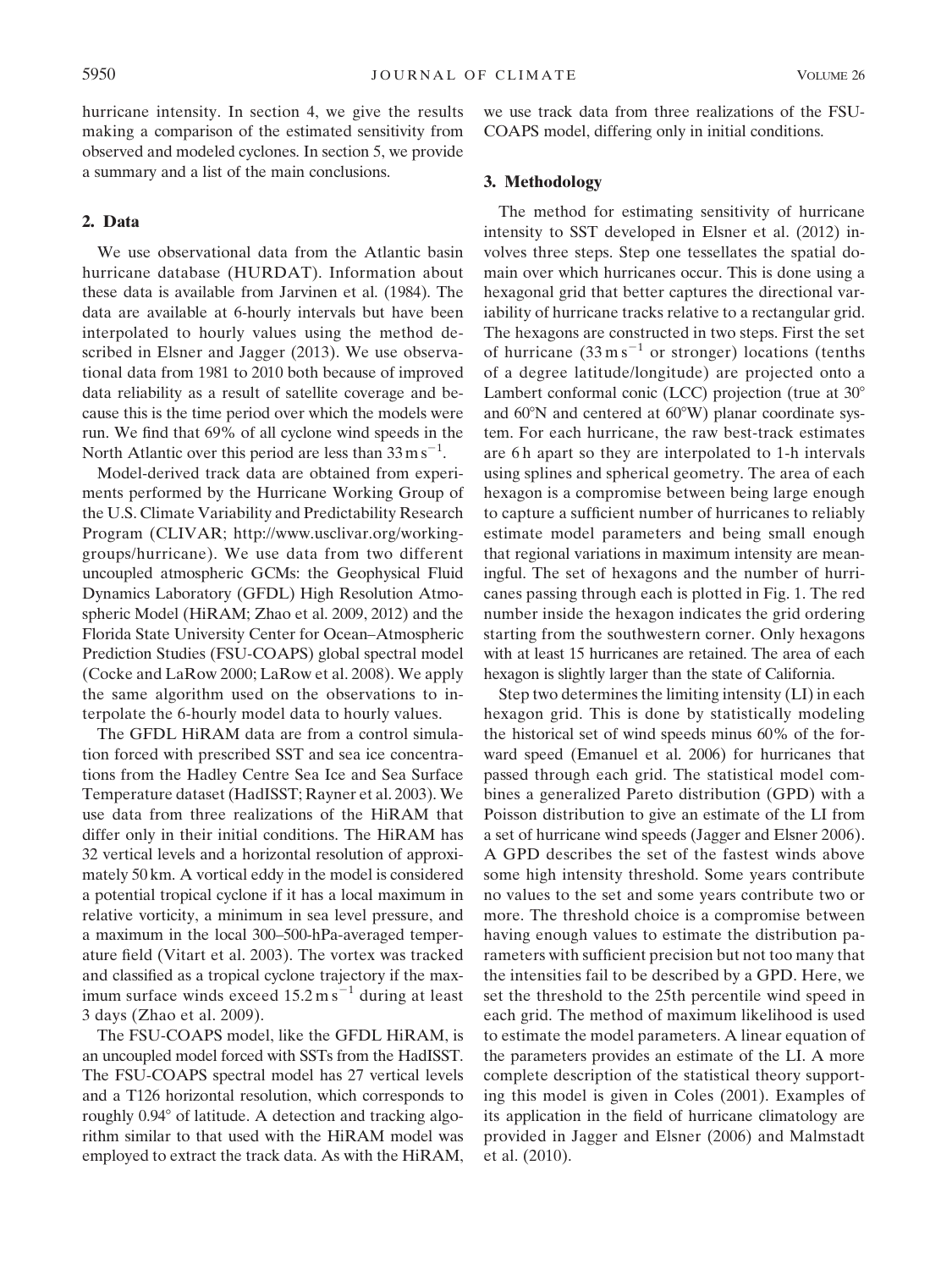hurricane intensity. In section 4, we give the results making a comparison of the estimated sensitivity from observed and modeled cyclones. In section 5, we provide a summary and a list of the main conclusions.

# 2. Data

We use observational data from the Atlantic basin hurricane database (HURDAT). Information about these data is available from Jarvinen et al. (1984). The data are available at 6-hourly intervals but have been interpolated to hourly values using the method described in Elsner and Jagger (2013). We use observational data from 1981 to 2010 both because of improved data reliability as a result of satellite coverage and because this is the time period over which the models were run. We find that 69% of all cyclone wind speeds in the North Atlantic over this period are less than  $33 \text{ m s}^{-1}$ .

Model-derived track data are obtained from experiments performed by the Hurricane Working Group of the U.S. Climate Variability and Predictability Research Program (CLIVAR; http://www.usclivar.org/workinggroups/hurricane). We use data from two different uncoupled atmospheric GCMs: the Geophysical Fluid Dynamics Laboratory (GFDL) High Resolution Atmospheric Model (HiRAM; Zhao et al. 2009, 2012) and the Florida State University Center for Ocean–Atmospheric Prediction Studies (FSU-COAPS) global spectral model (Cocke and LaRow 2000; LaRow et al. 2008). We apply the same algorithm used on the observations to interpolate the 6-hourly model data to hourly values.

The GFDL HiRAM data are from a control simulation forced with prescribed SST and sea ice concentrations from the Hadley Centre Sea Ice and Sea Surface Temperature dataset (HadISST; Rayner et al. 2003). We use data from three realizations of the HiRAM that differ only in their initial conditions. The HiRAM has 32 vertical levels and a horizontal resolution of approximately 50 km. A vortical eddy in the model is considered a potential tropical cyclone if it has a local maximum in relative vorticity, a minimum in sea level pressure, and a maximum in the local 300–500-hPa-averaged temperature field (Vitart et al. 2003). The vortex was tracked and classified as a tropical cyclone trajectory if the maximum surface winds exceed  $15.2 \text{ m s}^{-1}$  during at least 3 days (Zhao et al. 2009).

The FSU-COAPS model, like the GFDL HiRAM, is an uncoupled model forced with SSTs from the HadISST. The FSU-COAPS spectral model has 27 vertical levels and a T126 horizontal resolution, which corresponds to roughly 0.94 $\degree$  of latitude. A detection and tracking algorithm similar to that used with the HiRAM model was employed to extract the track data. As with the HiRAM, we use track data from three realizations of the FSU-COAPS model, differing only in initial conditions.

#### 3. Methodology

The method for estimating sensitivity of hurricane intensity to SST developed in Elsner et al. (2012) involves three steps. Step one tessellates the spatial domain over which hurricanes occur. This is done using a hexagonal grid that better captures the directional variability of hurricane tracks relative to a rectangular grid. The hexagons are constructed in two steps. First the set of hurricane  $(33 \text{ m s}^{-1}$  or stronger) locations (tenths of a degree latitude/longitude) are projected onto a Lambert conformal conic (LCC) projection (true at  $30^{\circ}$ ) and  $60^{\circ}$ N and centered at  $60^{\circ}$ W) planar coordinate system. For each hurricane, the raw best-track estimates are 6 h apart so they are interpolated to 1-h intervals using splines and spherical geometry. The area of each hexagon is a compromise between being large enough to capture a sufficient number of hurricanes to reliably estimate model parameters and being small enough that regional variations in maximum intensity are meaningful. The set of hexagons and the number of hurricanes passing through each is plotted in Fig. 1. The red number inside the hexagon indicates the grid ordering starting from the southwestern corner. Only hexagons with at least 15 hurricanes are retained. The area of each hexagon is slightly larger than the state of California.

Step two determines the limiting intensity (LI) in each hexagon grid. This is done by statistically modeling the historical set of wind speeds minus 60% of the forward speed (Emanuel et al. 2006) for hurricanes that passed through each grid. The statistical model combines a generalized Pareto distribution (GPD) with a Poisson distribution to give an estimate of the LI from a set of hurricane wind speeds (Jagger and Elsner 2006). A GPD describes the set of the fastest winds above some high intensity threshold. Some years contribute no values to the set and some years contribute two or more. The threshold choice is a compromise between having enough values to estimate the distribution parameters with sufficient precision but not too many that the intensities fail to be described by a GPD. Here, we set the threshold to the 25th percentile wind speed in each grid. The method of maximum likelihood is used to estimate the model parameters. A linear equation of the parameters provides an estimate of the LI. A more complete description of the statistical theory supporting this model is given in Coles (2001). Examples of its application in the field of hurricane climatology are provided in Jagger and Elsner (2006) and Malmstadt et al. (2010).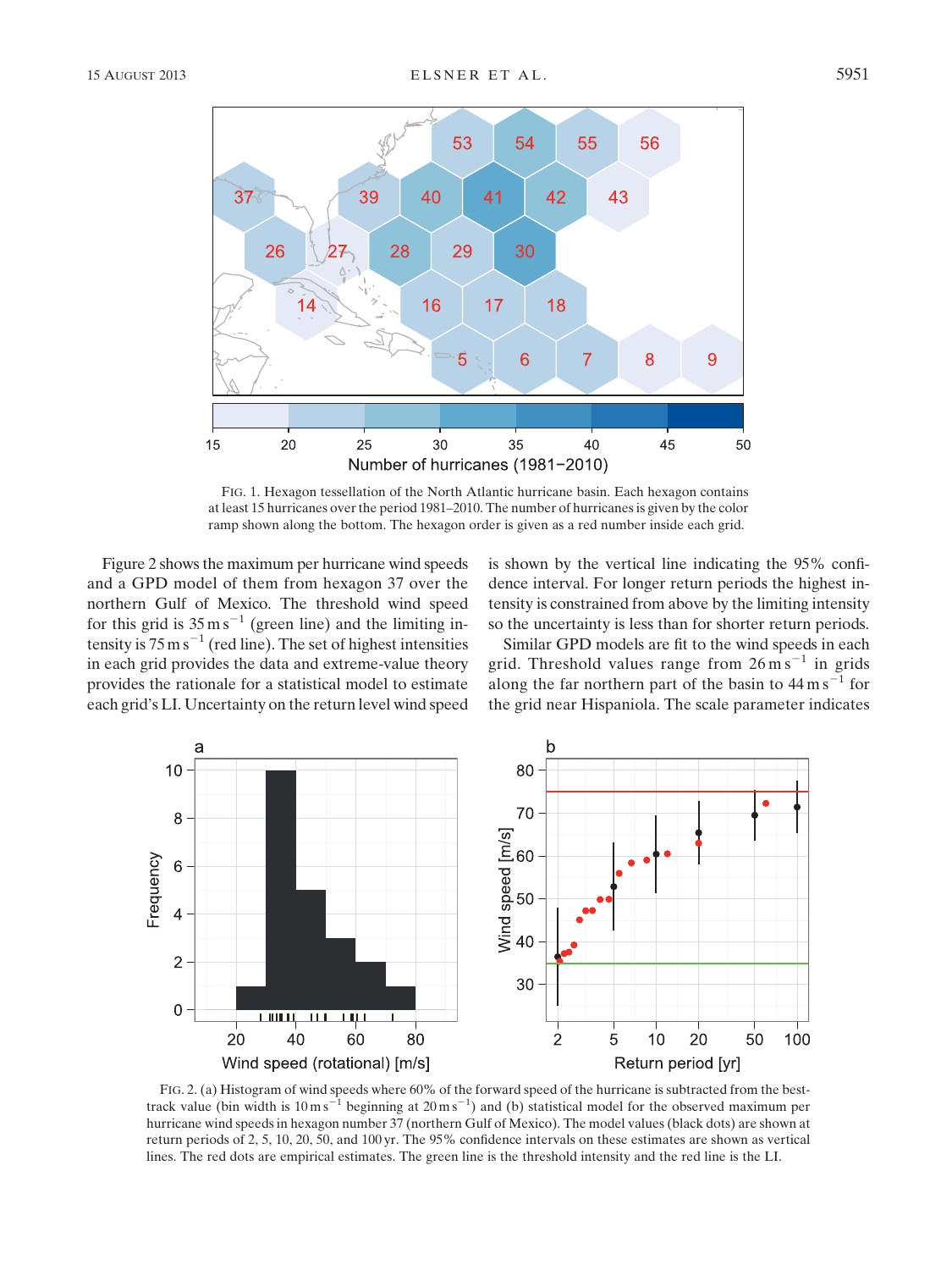

FIG. 1. Hexagon tessellation of the North Atlantic hurricane basin. Each hexagon contains at least 15 hurricanes over the period 1981–2010. The number of hurricanes is given by the color ramp shown along the bottom. The hexagon order is given as a red number inside each grid.

Figure 2 shows the maximum per hurricane wind speeds and a GPD model of them from hexagon 37 over the northern Gulf of Mexico. The threshold wind speed for this grid is  $35 \text{ m s}^{-1}$  (green line) and the limiting intensity is  $75 \text{ m s}^{-1}$  (red line). The set of highest intensities in each grid provides the data and extreme-value theory provides the rationale for a statistical model to estimate each grid's LI. Uncertainty on the return level wind speed is shown by the vertical line indicating the 95% confidence interval. For longer return periods the highest intensity is constrained from above by the limiting intensity so the uncertainty is less than for shorter return periods.

Similar GPD models are fit to the wind speeds in each grid. Threshold values range from  $26 \text{ m s}^{-1}$  in grids along the far northern part of the basin to  $44 \text{ m s}^{-1}$  for the grid near Hispaniola. The scale parameter indicates



FIG. 2. (a) Histogram of wind speeds where 60% of the forward speed of the hurricane is subtracted from the besttrack value (bin width is  $10 \text{ m s}^{-1}$  beginning at  $20 \text{ m s}^{-1}$ ) and (b) statistical model for the observed maximum per hurricane wind speeds in hexagon number 37 (northern Gulf of Mexico). The model values (black dots) are shown at return periods of 2, 5, 10, 20, 50, and 100 yr. The 95% confidence intervals on these estimates are shown as vertical lines. The red dots are empirical estimates. The green line is the threshold intensity and the red line is the LI.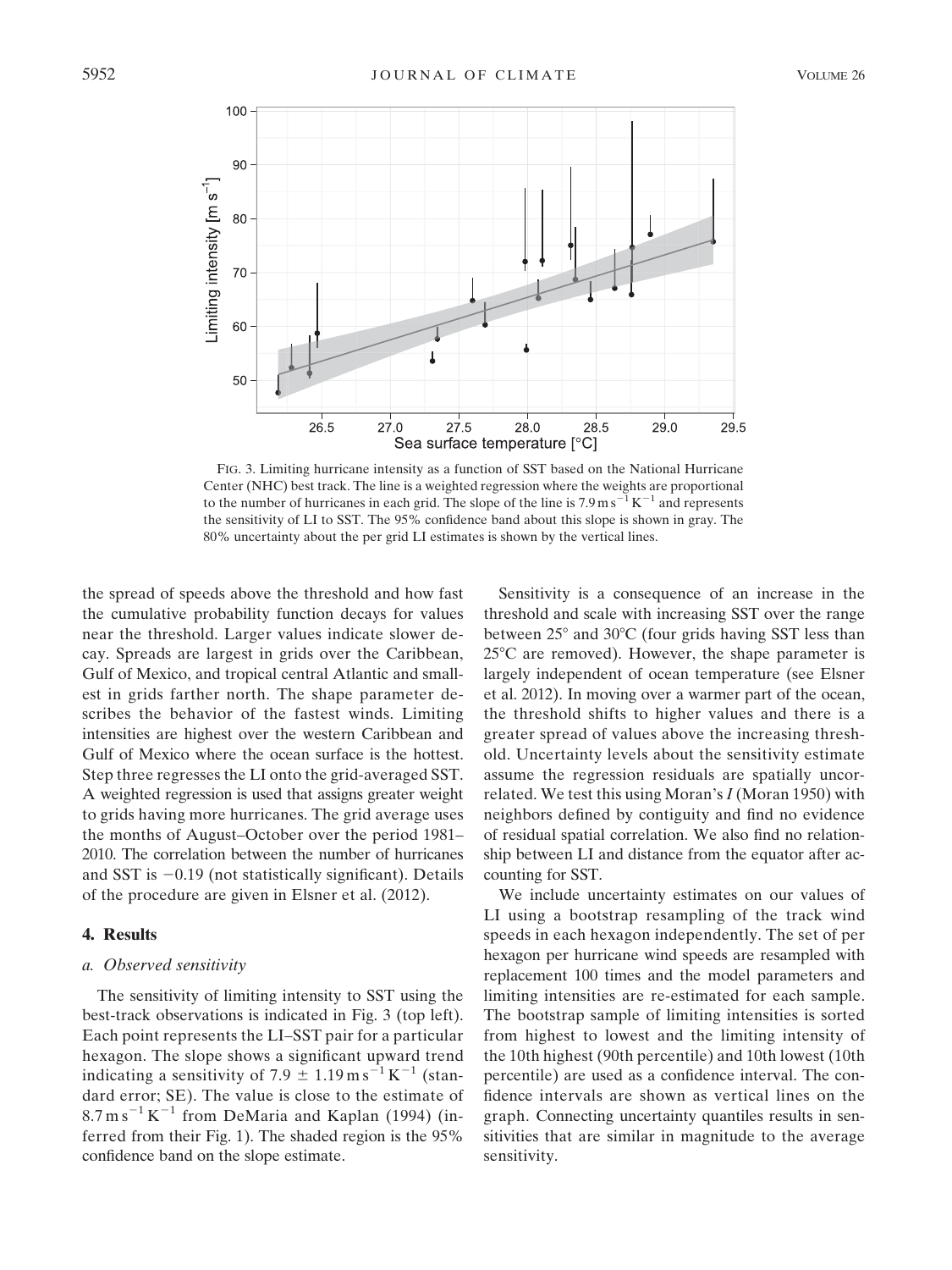

FIG. 3. Limiting hurricane intensity as a function of SST based on the National Hurricane Center (NHC) best track. The line is a weighted regression where the weights are proportional to the number of hurricanes in each grid. The slope of the line is  $7.9 \text{ m s}^{-1} \text{K}^{-1}$  and represents the sensitivity of LI to SST. The 95% confidence band about this slope is shown in gray. The 80% uncertainty about the per grid LI estimates is shown by the vertical lines.

the spread of speeds above the threshold and how fast the cumulative probability function decays for values near the threshold. Larger values indicate slower decay. Spreads are largest in grids over the Caribbean, Gulf of Mexico, and tropical central Atlantic and smallest in grids farther north. The shape parameter describes the behavior of the fastest winds. Limiting intensities are highest over the western Caribbean and Gulf of Mexico where the ocean surface is the hottest. Step three regresses the LI onto the grid-averaged SST. A weighted regression is used that assigns greater weight to grids having more hurricanes. The grid average uses the months of August–October over the period 1981– 2010. The correlation between the number of hurricanes and SST is  $-0.19$  (not statistically significant). Details of the procedure are given in Elsner et al. (2012).

# 4. Results

#### a. Observed sensitivity

The sensitivity of limiting intensity to SST using the best-track observations is indicated in Fig. 3 (top left). Each point represents the LI–SST pair for a particular hexagon. The slope shows a significant upward trend indicating a sensitivity of 7.9  $\pm$  1.19 m s<sup>-1</sup> K<sup>-1</sup> (standard error; SE). The value is close to the estimate of  $8.7 \text{ m s}^{-1}$  K<sup>-1</sup> from DeMaria and Kaplan (1994) (inferred from their Fig. 1). The shaded region is the 95% confidence band on the slope estimate.

Sensitivity is a consequence of an increase in the threshold and scale with increasing SST over the range between  $25^{\circ}$  and  $30^{\circ}$ C (four grids having SST less than  $25^{\circ}$ C are removed). However, the shape parameter is largely independent of ocean temperature (see Elsner et al. 2012). In moving over a warmer part of the ocean, the threshold shifts to higher values and there is a greater spread of values above the increasing threshold. Uncertainty levels about the sensitivity estimate assume the regression residuals are spatially uncorrelated. We test this using Moran's  $I$  (Moran 1950) with neighbors defined by contiguity and find no evidence of residual spatial correlation. We also find no relationship between LI and distance from the equator after accounting for SST.

We include uncertainty estimates on our values of LI using a bootstrap resampling of the track wind speeds in each hexagon independently. The set of per hexagon per hurricane wind speeds are resampled with replacement 100 times and the model parameters and limiting intensities are re-estimated for each sample. The bootstrap sample of limiting intensities is sorted from highest to lowest and the limiting intensity of the 10th highest (90th percentile) and 10th lowest (10th percentile) are used as a confidence interval. The confidence intervals are shown as vertical lines on the graph. Connecting uncertainty quantiles results in sensitivities that are similar in magnitude to the average sensitivity.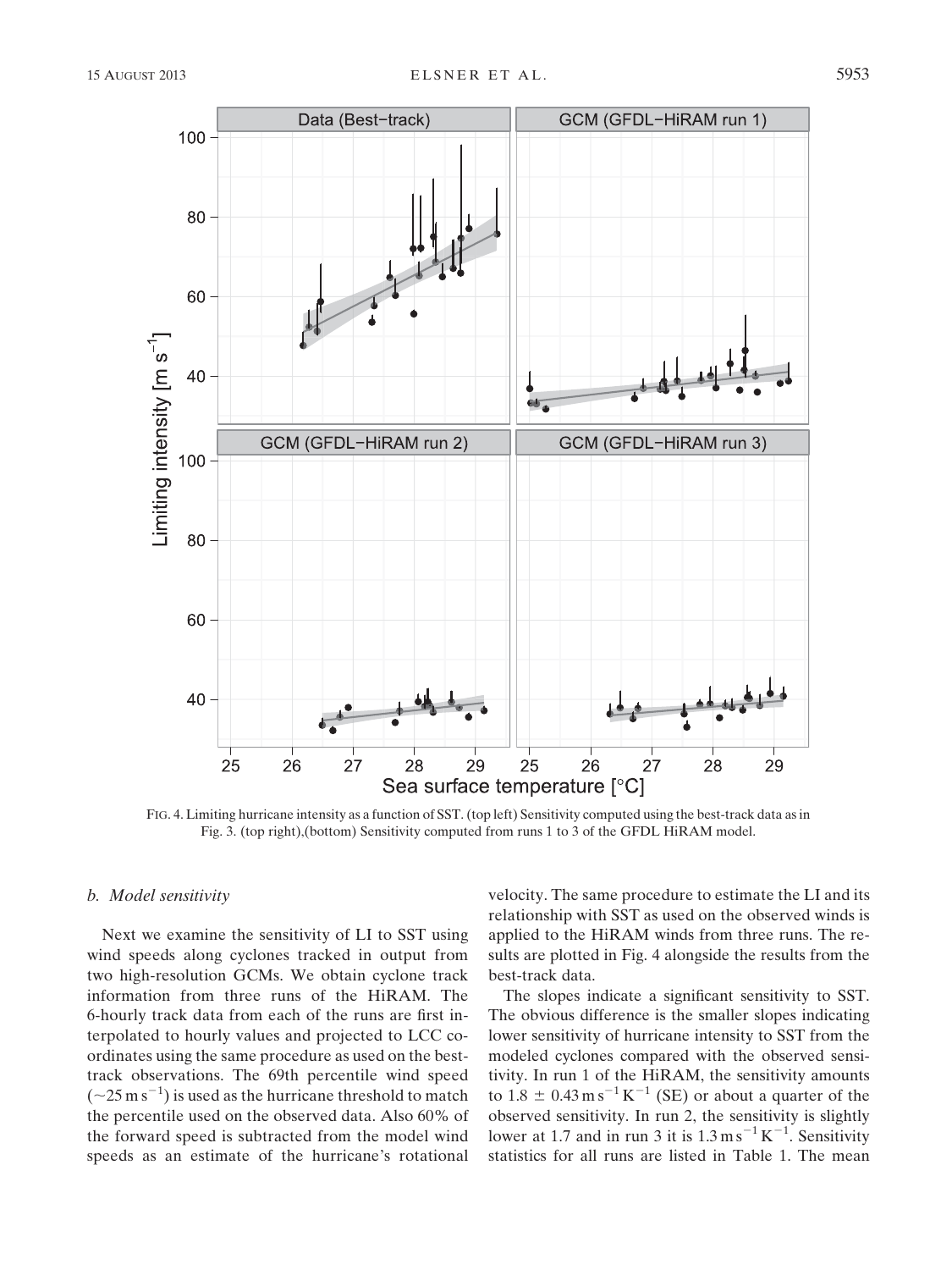

FIG. 4. Limiting hurricane intensity as a function of SST. (top left) Sensitivity computed using the best-track data as in Fig. 3. (top right),(bottom) Sensitivity computed from runs 1 to 3 of the GFDL HiRAM model.

# b. Model sensitivity

Next we examine the sensitivity of LI to SST using wind speeds along cyclones tracked in output from two high-resolution GCMs. We obtain cyclone track information from three runs of the HiRAM. The 6-hourly track data from each of the runs are first interpolated to hourly values and projected to LCC coordinates using the same procedure as used on the besttrack observations. The 69th percentile wind speed  $(-25 \text{ m s}^{-1})$  is used as the hurricane threshold to match the percentile used on the observed data. Also 60% of the forward speed is subtracted from the model wind speeds as an estimate of the hurricane's rotational velocity. The same procedure to estimate the LI and its relationship with SST as used on the observed winds is applied to the HiRAM winds from three runs. The results are plotted in Fig. 4 alongside the results from the best-track data.

The slopes indicate a significant sensitivity to SST. The obvious difference is the smaller slopes indicating lower sensitivity of hurricane intensity to SST from the modeled cyclones compared with the observed sensitivity. In run 1 of the HiRAM, the sensitivity amounts to  $1.8 \pm 0.43 \,\text{m s}^{-1}\,\text{K}^{-1}$  (SE) or about a quarter of the observed sensitivity. In run 2, the sensitivity is slightly lower at 1.7 and in run 3 it is  $1.3 \text{ m s}^{-1} \text{K}^{-1}$ . Sensitivity statistics for all runs are listed in Table 1. The mean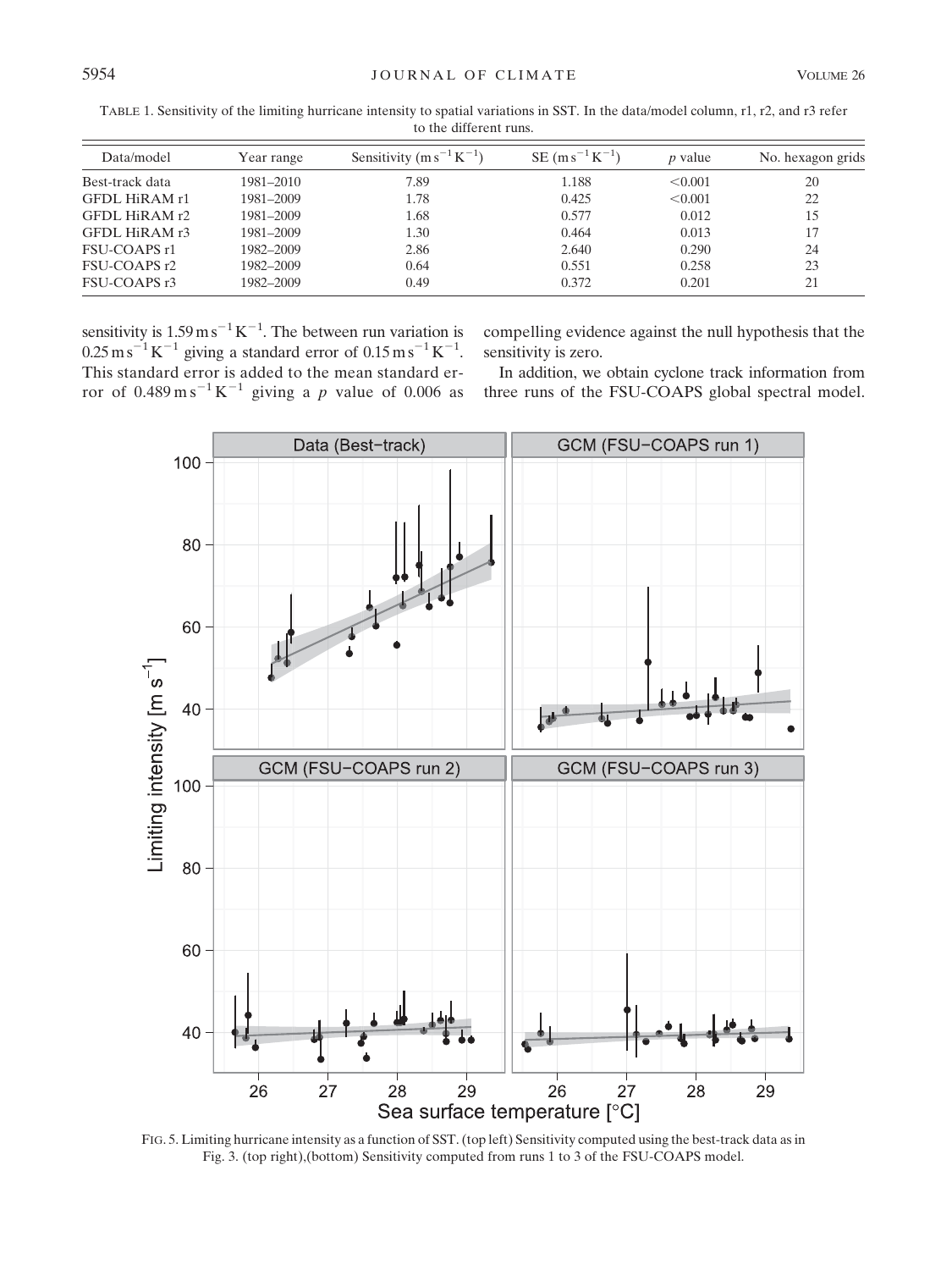| $\sim$ $\mu$ $\sim$ $\mu$ $\sim$ $\mu$ $\sim$ $\mu$ |            |                                 |                     |                |                   |  |  |
|-----------------------------------------------------|------------|---------------------------------|---------------------|----------------|-------------------|--|--|
| Data/model                                          | Year range | Sensitivity $(m s^{-1} K^{-1})$ | $SE(ms^{-1}K^{-1})$ | <i>p</i> value | No. hexagon grids |  |  |
| Best-track data                                     | 1981-2010  | 7.89                            | 1.188               | < 0.001        | 20                |  |  |
| GFDL HiRAM r1                                       | 1981-2009  | 1.78                            | 0.425               | < 0.001        | 22                |  |  |
| GFDL HiRAM r2                                       | 1981-2009  | 1.68                            | 0.577               | 0.012          | 15                |  |  |
| GFDL HIRAM r3                                       | 1981-2009  | 1.30                            | 0.464               | 0.013          | 17                |  |  |
| FSU-COAPS r1                                        | 1982–2009  | 2.86                            | 2.640               | 0.290          | 24                |  |  |
| FSU-COAPS r2                                        | 1982-2009  | 0.64                            | 0.551               | 0.258          | 23                |  |  |
| FSU-COAPS r3                                        | 1982-2009  | 0.49                            | 0.372               | 0.201          | 21                |  |  |
|                                                     |            |                                 |                     |                |                   |  |  |

TABLE 1. Sensitivity of the limiting hurricane intensity to spatial variations in SST. In the data/model column, r1, r2, and r3 refer to the different runs.

sensitivity is  $1.59 \text{ m s}^{-1} \text{K}^{-1}$ . The between run variation is  $0.25 \,\mathrm{m\,s}^{-1}\,\mathrm{K}^{-1}$  giving a standard error of  $0.15 \,\mathrm{m\,s}^{-1}\,\mathrm{K}^{-1}$ . This standard error is added to the mean standard error of  $0.489 \text{ m s}^{-1} \text{ K}^{-1}$  giving a p value of 0.006 as compelling evidence against the null hypothesis that the sensitivity is zero.

In addition, we obtain cyclone track information from three runs of the FSU-COAPS global spectral model.



FIG. 5. Limiting hurricane intensity as a function of SST. (top left) Sensitivity computed using the best-track data as in Fig. 3. (top right),(bottom) Sensitivity computed from runs 1 to 3 of the FSU-COAPS model.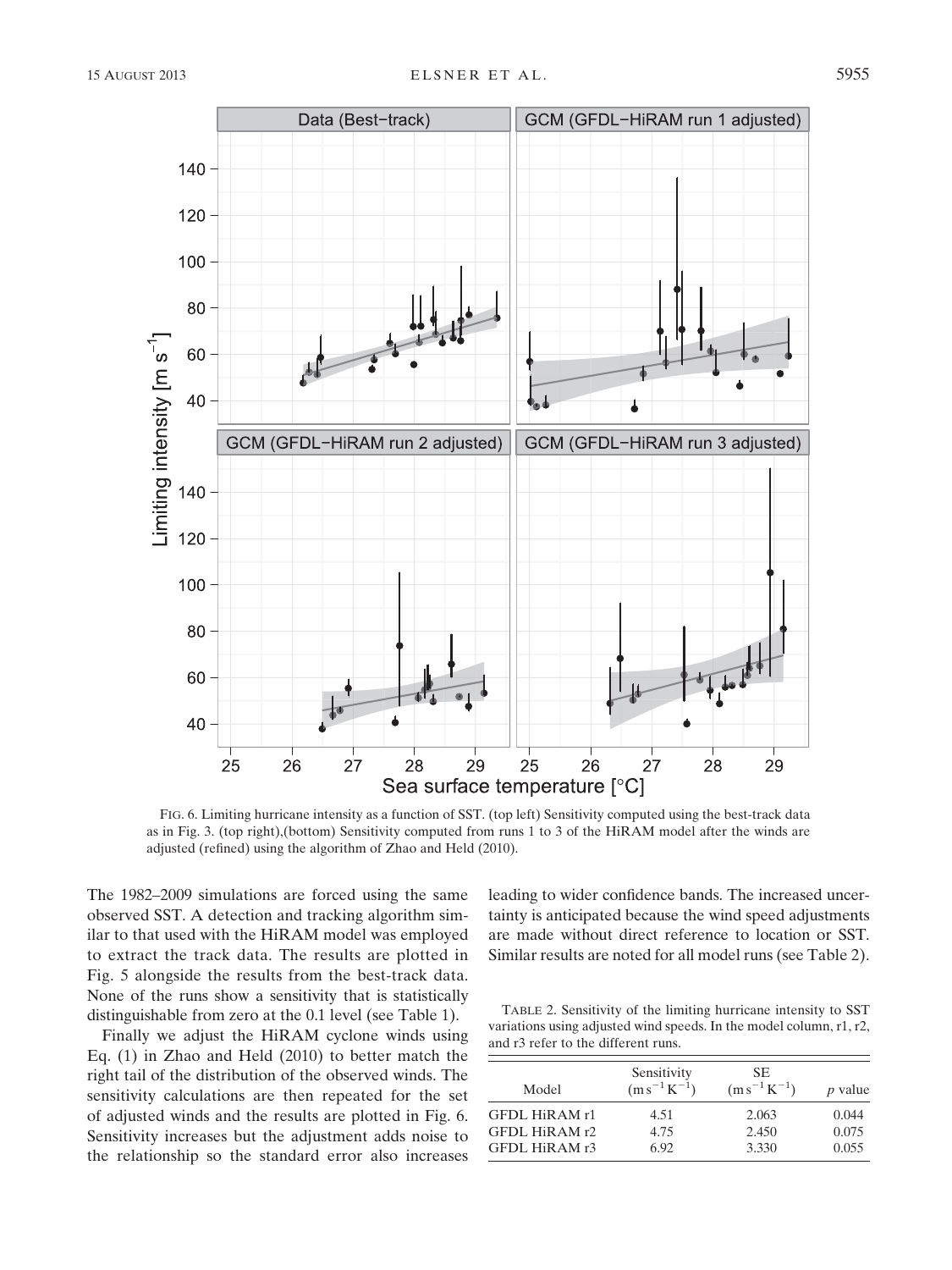



FIG. 6. Limiting hurricane intensity as a function of SST. (top left) Sensitivity computed using the best-track data as in Fig. 3. (top right),(bottom) Sensitivity computed from runs 1 to 3 of the HiRAM model after the winds are adjusted (refined) using the algorithm of Zhao and Held (2010).

The 1982–2009 simulations are forced using the same observed SST. A detection and tracking algorithm similar to that used with the HiRAM model was employed to extract the track data. The results are plotted in Fig. 5 alongside the results from the best-track data. None of the runs show a sensitivity that is statistically distinguishable from zero at the 0.1 level (see Table 1).

Finally we adjust the HiRAM cyclone winds using Eq. (1) in Zhao and Held (2010) to better match the right tail of the distribution of the observed winds. The sensitivity calculations are then repeated for the set of adjusted winds and the results are plotted in Fig. 6. Sensitivity increases but the adjustment adds noise to the relationship so the standard error also increases leading to wider confidence bands. The increased uncertainty is anticipated because the wind speed adjustments are made without direct reference to location or SST. Similar results are noted for all model runs (see Table 2).

TABLE 2. Sensitivity of the limiting hurricane intensity to SST variations using adjusted wind speeds. In the model column, r1, r2, and r3 refer to the different runs.

| Model         | Sensitivity<br>$(m s^{-1} K^{-1})$ | SE.<br>$(m s^{-1} K^{-1})$ | <i>p</i> value |
|---------------|------------------------------------|----------------------------|----------------|
| GFDL HiRAM r1 | 4.51                               | 2.063                      | 0.044          |
| GFDL HiRAM r2 | 4.75                               | 2.450                      | 0.075          |
| GFDL HIRAM r3 | 6.92                               | 3.330                      | 0.055          |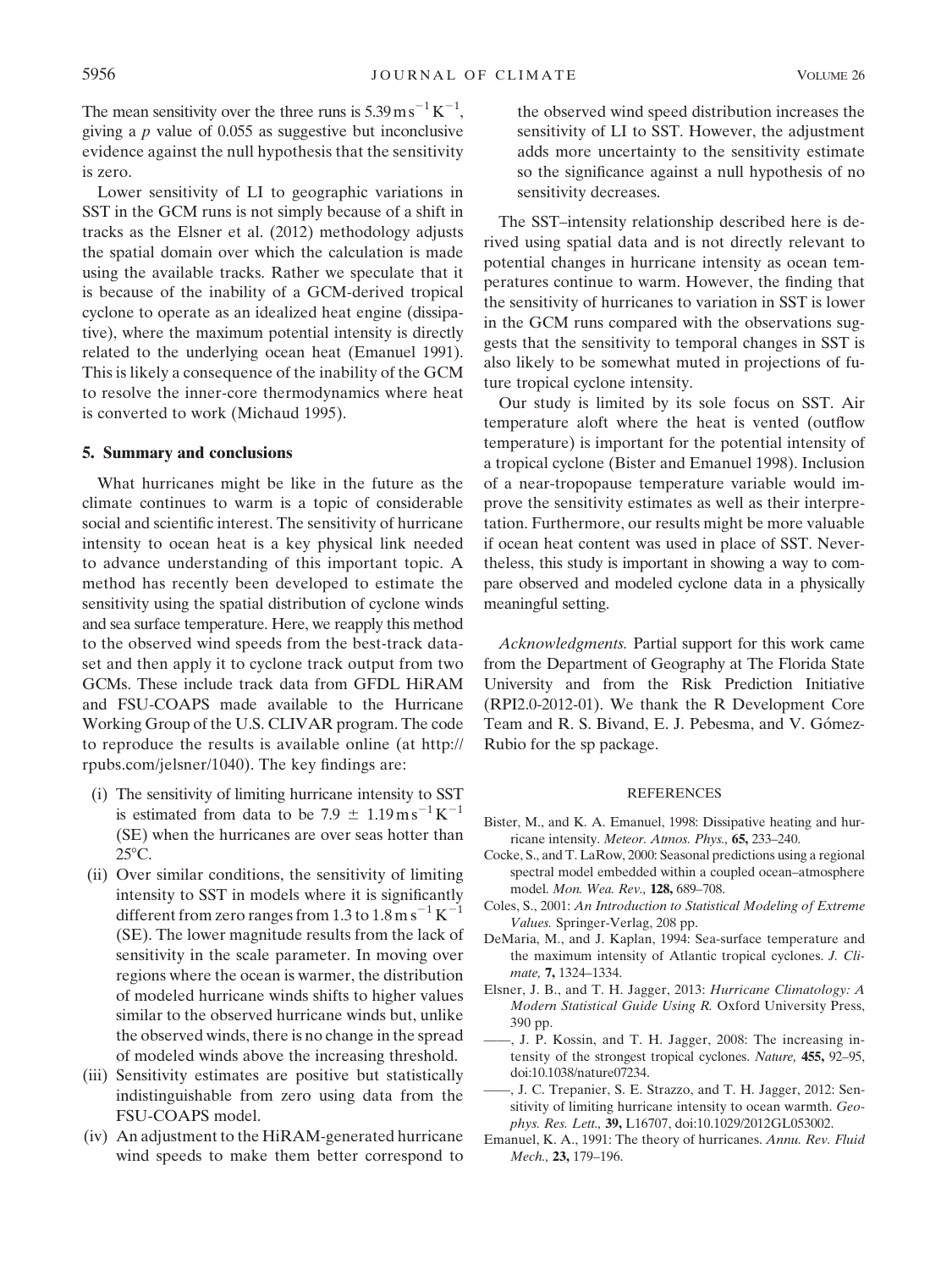The mean sensitivity over the three runs is  $5.39 \text{ m s}^{-1} \text{K}^{-1}$ , giving a  $p$  value of 0.055 as suggestive but inconclusive evidence against the null hypothesis that the sensitivity is zero.

Lower sensitivity of LI to geographic variations in SST in the GCM runs is not simply because of a shift in tracks as the Elsner et al. (2012) methodology adjusts the spatial domain over which the calculation is made using the available tracks. Rather we speculate that it is because of the inability of a GCM-derived tropical cyclone to operate as an idealized heat engine (dissipative), where the maximum potential intensity is directly related to the underlying ocean heat (Emanuel 1991). This is likely a consequence of the inability of the GCM to resolve the inner-core thermodynamics where heat is converted to work (Michaud 1995).

## 5. Summary and conclusions

What hurricanes might be like in the future as the climate continues to warm is a topic of considerable social and scientific interest. The sensitivity of hurricane intensity to ocean heat is a key physical link needed to advance understanding of this important topic. A method has recently been developed to estimate the sensitivity using the spatial distribution of cyclone winds and sea surface temperature. Here, we reapply this method to the observed wind speeds from the best-track dataset and then apply it to cyclone track output from two GCMs. These include track data from GFDL HiRAM and FSU-COAPS made available to the Hurricane Working Group of the U.S. CLIVAR program. The code to reproduce the results is available online (at http:// rpubs.com/jelsner/1040). The key findings are:

- (i) The sensitivity of limiting hurricane intensity to SST is estimated from data to be  $7.9 \pm 1.19 \,\mathrm{m\,s}^{-1}\,\mathrm{K}^{-1}$ (SE) when the hurricanes are over seas hotter than  $25^{\circ}$ C.
- (ii) Over similar conditions, the sensitivity of limiting intensity to SST in models where it is significantly different from zero ranges from 1.3 to  $1.8 \text{ m s}^{-1} \text{ K}^{-1}$ (SE). The lower magnitude results from the lack of sensitivity in the scale parameter. In moving over regions where the ocean is warmer, the distribution of modeled hurricane winds shifts to higher values similar to the observed hurricane winds but, unlike the observed winds, there is no change in the spread of modeled winds above the increasing threshold.
- (iii) Sensitivity estimates are positive but statistically indistinguishable from zero using data from the FSU-COAPS model.
- (iv) An adjustment to the HiRAM-generated hurricane wind speeds to make them better correspond to

the observed wind speed distribution increases the sensitivity of LI to SST. However, the adjustment adds more uncertainty to the sensitivity estimate so the significance against a null hypothesis of no sensitivity decreases.

The SST–intensity relationship described here is derived using spatial data and is not directly relevant to potential changes in hurricane intensity as ocean temperatures continue to warm. However, the finding that the sensitivity of hurricanes to variation in SST is lower in the GCM runs compared with the observations suggests that the sensitivity to temporal changes in SST is also likely to be somewhat muted in projections of future tropical cyclone intensity.

Our study is limited by its sole focus on SST. Air temperature aloft where the heat is vented (outflow temperature) is important for the potential intensity of a tropical cyclone (Bister and Emanuel 1998). Inclusion of a near-tropopause temperature variable would improve the sensitivity estimates as well as their interpretation. Furthermore, our results might be more valuable if ocean heat content was used in place of SST. Nevertheless, this study is important in showing a way to compare observed and modeled cyclone data in a physically meaningful setting.

Acknowledgments. Partial support for this work came from the Department of Geography at The Florida State University and from the Risk Prediction Initiative (RPI2.0-2012-01). We thank the R Development Core Team and R. S. Bivand, E. J. Pebesma, and V. Gómez-Rubio for the sp package.

#### REFERENCES

- Bister, M., and K. A. Emanuel, 1998: Dissipative heating and hurricane intensity. Meteor. Atmos. Phys., 65, 233–240.
- Cocke, S., and T. LaRow, 2000: Seasonal predictions using a regional spectral model embedded within a coupled ocean–atmosphere model. Mon. Wea. Rev., 128, 689–708.
- Coles, S., 2001: An Introduction to Statistical Modeling of Extreme Values. Springer-Verlag, 208 pp.
- DeMaria, M., and J. Kaplan, 1994: Sea-surface temperature and the maximum intensity of Atlantic tropical cyclones. J. Climate, 7, 1324–1334.
- Elsner, J. B., and T. H. Jagger, 2013: Hurricane Climatology: A Modern Statistical Guide Using R. Oxford University Press, 390 pp.
- ——, J. P. Kossin, and T. H. Jagger, 2008: The increasing intensity of the strongest tropical cyclones. Nature, 455, 92–95, doi:10.1038/nature07234.
- ——, J. C. Trepanier, S. E. Strazzo, and T. H. Jagger, 2012: Sensitivity of limiting hurricane intensity to ocean warmth. Geophys. Res. Lett., 39, L16707, doi:10.1029/2012GL053002.
- Emanuel, K. A., 1991: The theory of hurricanes. Annu. Rev. Fluid Mech., 23, 179–196.